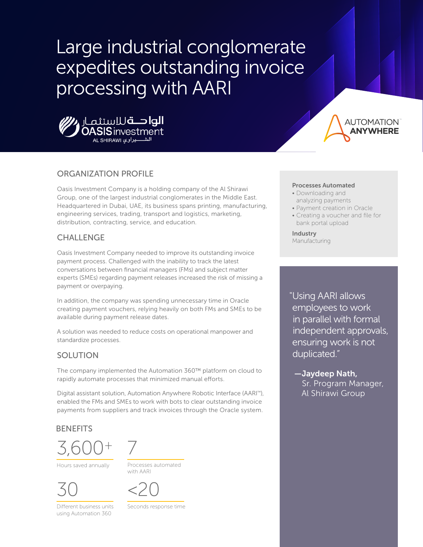# Large industrial conglomerate expedites outstanding invoice processing with AARI





# ORGANIZATION PROFILE

Oasis Investment Company is a holding company of the Al Shirawi Group, one of the largest industrial conglomerates in the Middle East. Headquartered in Dubai, UAE, its business spans printing, manufacturing, engineering services, trading, transport and logistics, marketing, distribution, contracting, service, and education.

## CHALLENGE

Oasis Investment Company needed to improve its outstanding invoice payment process. Challenged with the inability to track the latest conversations between financial managers (FMs) and subject matter experts (SMEs) regarding payment releases increased the risk of missing a payment or overpaying.

In addition, the company was spending unnecessary time in Oracle creating payment vouchers, relying heavily on both FMs and SMEs to be available during payment release dates.

A solution was needed to reduce costs on operational manpower and standardize processes.

## SOLUTION

The company implemented the Automation 360™ platform on cloud to rapidly automate processes that minimized manual efforts.

Digital assistant solution, Automation Anywhere Robotic Interface (AARI™), enabled the FMs and SMEs to work with bots to clear outstanding invoice payments from suppliers and track invoices through the Oracle system.

## **BENEFITS**





Hours saved annually



Different business units using Automation 360

Processes automated with AARI



Seconds response time

#### Processes Automated

- Downloading and analyzing payments
- Payment creation in Oracle
- Creating a voucher and file for bank portal upload

#### Industry Manufacturing

"Using AARI allows employees to work in parallel with formal independent approvals, ensuring work is not duplicated."

 —Jaydeep Nath, Sr. Program Manager, Al Shirawi Group